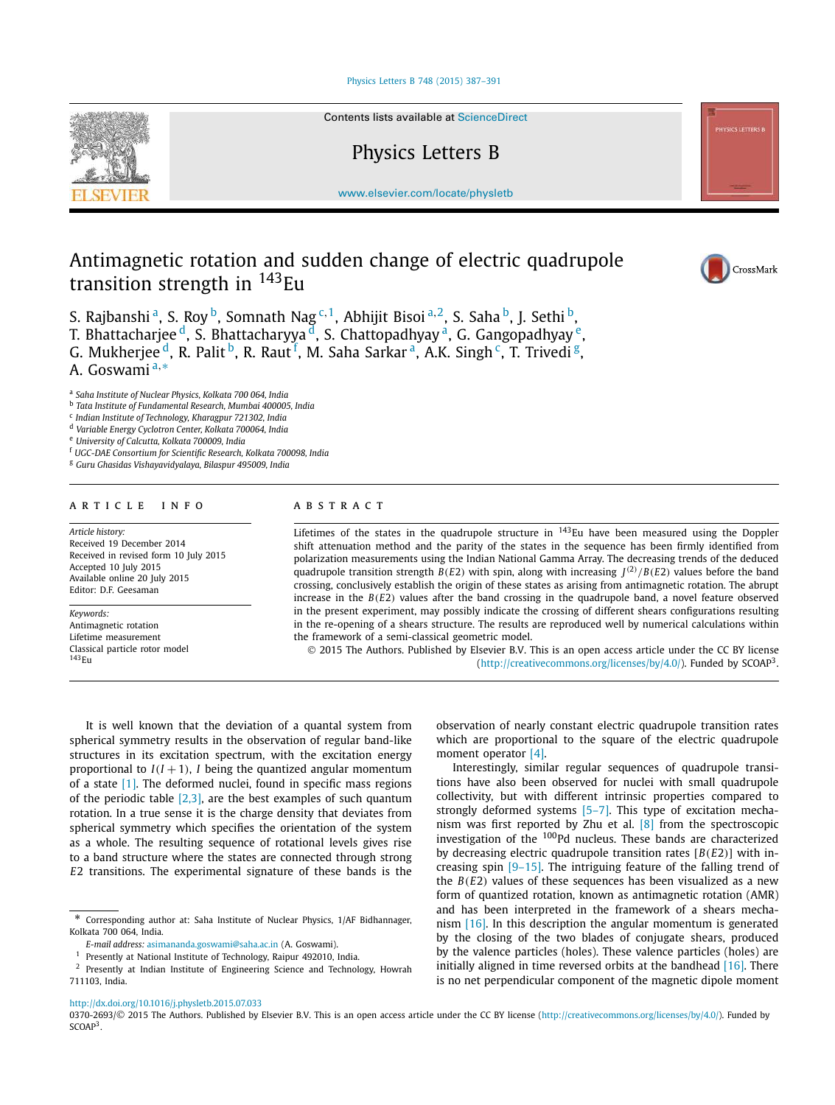### Physics Letters B 748 (2015) 387–391



Contents lists available at ScienceDirect

# Physics Letters B

www.elsevier.com/locate/physletb

# Antimagnetic rotation and sudden change of electric quadrupole transition strength in <sup>143</sup>Eu

S. Rajbanshi $^{\rm a}$ , S. Roy $^{\rm b}$ , Somnath Nag<sup>c,1</sup>, Abhijit Bisoi $^{\rm a,2}$ , S. Saha $^{\rm b}$ , J. Sethi $^{\rm b}$ , T. Bhattacharjee <sup>d</sup>, S. Bhattacharyya <sup>d</sup>, S. Chattopadhyay <sup>a</sup>, G. Gangopadhyay <sup>e</sup>, G. Mukherjee $^{\rm d}$ , R. Palit $^{\rm b}$ , R. Raut $^{\rm f}$ , M. Saha Sarkar $^{\rm a}$ , A.K. Singh $^{\rm c}$ , T. Trivedi $^{\rm g}$ , A. Goswami<sup>a,∗</sup>

a *Saha Institute of Nuclear Physics, Kolkata 700 064, India*

b *Tata Institute of Fundamental Research, Mumbai 400005, India*

c *Indian Institute of Technology, Kharagpur 721302, India*

<sup>d</sup> *Variable Energy Cyclotron Center, Kolkata 700064, India*

<sup>e</sup> *University of Calcutta, Kolkata 700009, India*

<sup>f</sup> *UGC-DAE Consortium for Scientific Research, Kolkata 700098, India*

<sup>g</sup> *Guru Ghasidas Vishayavidyalaya, Bilaspur 495009, India*

## A R T I C L E I N F O A B S T R A C T

*Article history:* Received 19 December 2014 Received in revised form 10 July 2015 Accepted 10 July 2015 Available online 20 July 2015 Editor: D.F. Geesaman

*Keywords:*

Antimagnetic rotation Lifetime measurement Classical particle rotor model  $143<sub>E11</sub>$ 

Lifetimes of the states in the quadrupole structure in <sup>143</sup>Eu have been measured using the Doppler shift attenuation method and the parity of the states in the sequence has been firmly identified from polarization measurements using the Indian National Gamma Array. The decreasing trends of the deduced quadrupole transition strength *B*(*E*2) with spin, along with increasing  $J^{(2)}/B(E2)$  values before the band crossing, conclusively establish the origin of these states as arising from antimagnetic rotation. The abrupt increase in the  $B(E2)$  values after the band crossing in the quadrupole band, a novel feature observed in the present experiment, may possibly indicate the crossing of different shears configurations resulting in the re-opening of a shears structure. The results are reproduced well by numerical calculations within the framework of a semi-classical geometric model.

 2015 The Authors. Published by Elsevier B.V. This is an open access article under the CC BY license (http://creativecommons.org/licenses/by/4.0/). Funded by SCOAP<sup>3</sup>.

It is well known that the deviation of a quantal system from spherical symmetry results in the observation of regular band-like structures in its excitation spectrum, with the excitation energy proportional to  $I(I + 1)$ , *I* being the quantized angular momentum of a state [1]. The deformed nuclei, found in specific mass regions of the periodic table  $[2,3]$ , are the best examples of such quantum rotation. In a true sense it is the charge density that deviates from spherical symmetry which specifies the orientation of the system as a whole. The resulting sequence of rotational levels gives rise to a band structure where the states are connected through strong *E*2 transitions. The experimental signature of these bands is the

Presently at National Institute of Technology, Raipur 492010, India.

<sup>2</sup> Presently at Indian Institute of Engineering Science and Technology, Howrah 711103, India.

observation of nearly constant electric quadrupole transition rates which are proportional to the square of the electric quadrupole moment operator [4].

Interestingly, similar regular sequences of quadrupole transitions have also been observed for nuclei with small quadrupole collectivity, but with different intrinsic properties compared to strongly deformed systems [5–7]. This type of excitation mechanism was first reported by Zhu et al. [8] from the spectroscopic investigation of the <sup>100</sup>Pd nucleus. These bands are characterized by decreasing electric quadrupole transition rates [*B*(*E*2)] with increasing spin [9–15]. The intriguing feature of the falling trend of the *B*(*E*2) values of these sequences has been visualized as a new form of quantized rotation, known as antimagnetic rotation (AMR) and has been interpreted in the framework of a shears mechanism [16]. In this description the angular momentum is generated by the closing of the two blades of conjugate shears, produced by the valence particles (holes). These valence particles (holes) are initially aligned in time reversed orbits at the bandhead [16]. There is no net perpendicular component of the magnetic dipole moment

http://dx.doi.org/10.1016/j.physletb.2015.07.033

0370-2693/© 2015 The Authors. Published by Elsevier B.V. This is an open access article under the CC BY license (http://creativecommons.org/licenses/by/4.0/). Funded by  $SCOAP<sup>3</sup>$ .



Corresponding author at: Saha Institute of Nuclear Physics, 1/AF Bidhannager, Kolkata 700 064, India.

*E-mail address:* asimananda.goswami@saha.ac.in (A. Goswami).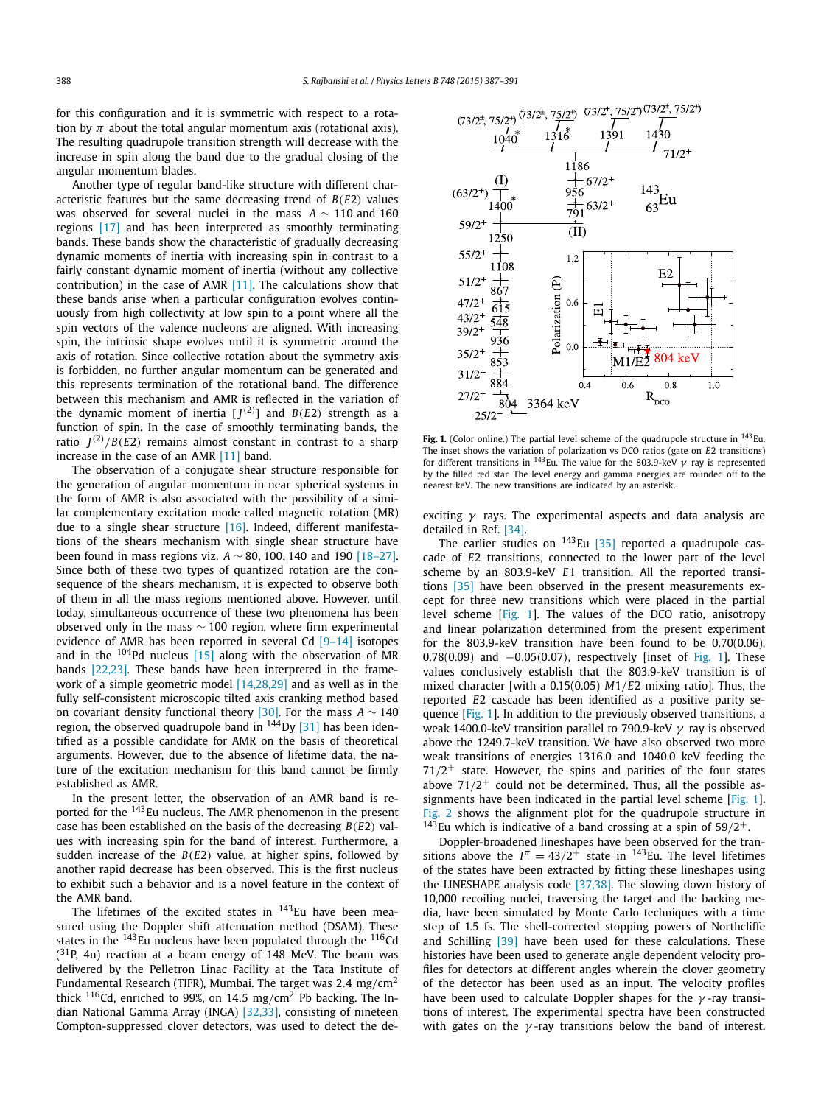for this configuration and it is symmetric with respect to a rotation by  $\pi$  about the total angular momentum axis (rotational axis). The resulting quadrupole transition strength will decrease with the increase in spin along the band due to the gradual closing of the angular momentum blades.

Another type of regular band-like structure with different characteristic features but the same decreasing trend of *B*(*E*2) values was observed for several nuclei in the mass *A* ∼ 110 and 160 regions [17] and has been interpreted as smoothly terminating bands. These bands show the characteristic of gradually decreasing dynamic moments of inertia with increasing spin in contrast to a fairly constant dynamic moment of inertia (without any collective contribution) in the case of AMR [11]. The calculations show that these bands arise when a particular configuration evolves continuously from high collectivity at low spin to a point where all the spin vectors of the valence nucleons are aligned. With increasing spin, the intrinsic shape evolves until it is symmetric around the axis of rotation. Since collective rotation about the symmetry axis is forbidden, no further angular momentum can be generated and this represents termination of the rotational band. The difference between this mechanism and AMR is reflected in the variation of the dynamic moment of inertia  $[J^{(2)}]$  and  $B(E2)$  strength as a function of spin. In the case of smoothly terminating bands, the ratio  $J^{(2)}/B(E2)$  remains almost constant in contrast to a sharp increase in the case of an AMR [11] band.

The observation of a conjugate shear structure responsible for the generation of angular momentum in near spherical systems in the form of AMR is also associated with the possibility of a similar complementary excitation mode called magnetic rotation (MR) due to a single shear structure [16]. Indeed, different manifestations of the shears mechanism with single shear structure have been found in mass regions viz. *A* ∼ 80, 100, 140 and 190 [18–27]. Since both of these two types of quantized rotation are the consequence of the shears mechanism, it is expected to observe both of them in all the mass regions mentioned above. However, until today, simultaneous occurrence of these two phenomena has been observed only in the mass  $\sim$  100 region, where firm experimental evidence of AMR has been reported in several Cd [9–14] isotopes and in the  $104Pd$  nucleus [15] along with the observation of MR bands [22,23]. These bands have been interpreted in the framework of a simple geometric model [14,28,29] and as well as in the fully self-consistent microscopic tilted axis cranking method based on covariant density functional theory [30]. For the mass *A* ∼ 140 region, the observed quadrupole band in  $144$  Dy [31] has been identified as a possible candidate for AMR on the basis of theoretical arguments. However, due to the absence of lifetime data, the nature of the excitation mechanism for this band cannot be firmly established as AMR.

In the present letter, the observation of an AMR band is reported for the <sup>143</sup>Eu nucleus. The AMR phenomenon in the present case has been established on the basis of the decreasing *B*(*E*2) values with increasing spin for the band of interest. Furthermore, a sudden increase of the *B*(*E*2) value, at higher spins, followed by another rapid decrease has been observed. This is the first nucleus to exhibit such a behavior and is a novel feature in the context of the AMR band.

The lifetimes of the excited states in  $143$ Eu have been measured using the Doppler shift attenuation method (DSAM). These states in the <sup>143</sup>Eu nucleus have been populated through the <sup>116</sup>Cd  $(31P, 4n)$  reaction at a beam energy of 148 MeV. The beam was delivered by the Pelletron Linac Facility at the Tata Institute of Fundamental Research (TIFR), Mumbai. The target was 2.4 mg/cm<sup>2</sup> thick  $116$ Cd, enriched to 99%, on 14.5 mg/cm<sup>2</sup> Pb backing. The Indian National Gamma Array (INGA) [32,33], consisting of nineteen Compton-suppressed clover detectors, was used to detect the de-



Fig. 1. (Color online.) The partial level scheme of the quadrupole structure in <sup>143</sup>Eu. The inset shows the variation of polarization vs DCO ratios (gate on *E*2 transitions) for different transitions in <sup>143</sup>Eu. The value for the 803.9-keV  $\gamma$  ray is represented by the filled red star. The level energy and gamma energies are rounded off to the nearest keV. The new transitions are indicated by an asterisk.

exciting  $\gamma$  rays. The experimental aspects and data analysis are detailed in Ref. [34].

The earlier studies on  $143$ Eu [35] reported a quadrupole cascade of *E*2 transitions, connected to the lower part of the level scheme by an 803.9-keV *E*1 transition. All the reported transitions [35] have been observed in the present measurements except for three new transitions which were placed in the partial level scheme [Fig. 1]. The values of the DCO ratio, anisotropy and linear polarization determined from the present experiment for the 803.9-keV transition have been found to be 0.70(0.06),  $0.78(0.09)$  and  $-0.05(0.07)$ , respectively [inset of Fig. 1]. These values conclusively establish that the 803.9-keV transition is of mixed character [with a 0.15(0.05) *M*1/*E*2 mixing ratio]. Thus, the reported *E*2 cascade has been identified as a positive parity sequence [Fig. 1]. In addition to the previously observed transitions, a weak 1400.0-keV transition parallel to 790.9-keV  $\gamma$  ray is observed above the 1249.7-keV transition. We have also observed two more weak transitions of energies 1316.0 and 1040.0 keV feeding the  $71/2$ <sup>+</sup> state. However, the spins and parities of the four states above  $71/2^+$  could not be determined. Thus, all the possible assignments have been indicated in the partial level scheme [Fig. 1]. Fig. 2 shows the alignment plot for the quadrupole structure in <sup>143</sup>Eu which is indicative of a band crossing at a spin of  $59/2^+$ .

Doppler-broadened lineshapes have been observed for the transitions above the  $I^{\pi} = 43/2^{+}$  state in <sup>143</sup>Eu. The level lifetimes of the states have been extracted by fitting these lineshapes using the LINESHAPE analysis code [37,38]. The slowing down history of 10,000 recoiling nuclei, traversing the target and the backing media, have been simulated by Monte Carlo techniques with a time step of 1.5 fs. The shell-corrected stopping powers of Northcliffe and Schilling [39] have been used for these calculations. These histories have been used to generate angle dependent velocity profiles for detectors at different angles wherein the clover geometry of the detector has been used as an input. The velocity profiles have been used to calculate Doppler shapes for the  $\gamma$ -ray transitions of interest. The experimental spectra have been constructed with gates on the  $\gamma$ -ray transitions below the band of interest.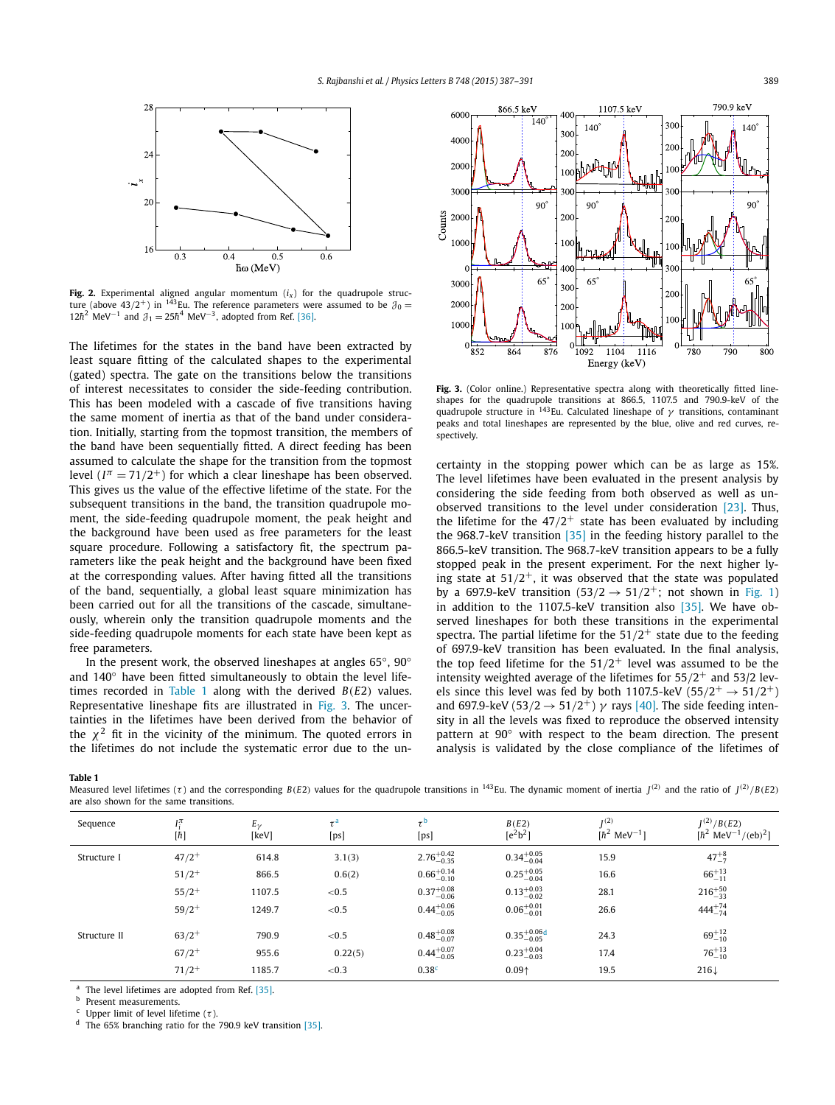

**Fig. 2.** Experimental aligned angular momentum  $(i<sub>x</sub>)$  for the quadrupole structure (above 43/2<sup>+</sup>) in <sup>143</sup>Eu. The reference parameters were assumed to be  $\mathcal{J}_0 =$ 12 $\hbar^2$  MeV<sup>-1</sup> and  $\partial_1 = 25\hbar^4$  MeV<sup>-3</sup>, adopted from Ref. [36].

The lifetimes for the states in the band have been extracted by least square fitting of the calculated shapes to the experimental (gated) spectra. The gate on the transitions below the transitions of interest necessitates to consider the side-feeding contribution. This has been modeled with a cascade of five transitions having the same moment of inertia as that of the band under consideration. Initially, starting from the topmost transition, the members of the band have been sequentially fitted. A direct feeding has been assumed to calculate the shape for the transition from the topmost level ( $I^{\pi}$  = 71/2<sup>+</sup>) for which a clear lineshape has been observed. This gives us the value of the effective lifetime of the state. For the subsequent transitions in the band, the transition quadrupole moment, the side-feeding quadrupole moment, the peak height and the background have been used as free parameters for the least square procedure. Following a satisfactory fit, the spectrum parameters like the peak height and the background have been fixed at the corresponding values. After having fitted all the transitions of the band, sequentially, a global least square minimization has been carried out for all the transitions of the cascade, simultaneously, wherein only the transition quadrupole moments and the side-feeding quadrupole moments for each state have been kept as free parameters.

In the present work, the observed lineshapes at angles 65 $^{\circ}$ , 90 $^{\circ}$ and 140◦ have been fitted simultaneously to obtain the level lifetimes recorded in Table 1 along with the derived *B*(*E*2) values. Representative lineshape fits are illustrated in Fig. 3. The uncertainties in the lifetimes have been derived from the behavior of the  $\chi^2$  fit in the vicinity of the minimum. The quoted errors in the lifetimes do not include the systematic error due to the un-



Fig. 3. (Color online.) Representative spectra along with theoretically fitted lineshapes for the quadrupole transitions at 866.5, 1107.5 and 790.9-keV of the quadrupole structure in <sup>143</sup>Eu. Calculated lineshape of  $\gamma$  transitions, contaminant peaks and total lineshapes are represented by the blue, olive and red curves, respectively.

certainty in the stopping power which can be as large as 15%. The level lifetimes have been evaluated in the present analysis by considering the side feeding from both observed as well as unobserved transitions to the level under consideration [23]. Thus, the lifetime for the  $47/2^+$  state has been evaluated by including the 968.7-keV transition [35] in the feeding history parallel to the 866.5-keV transition. The 968.7-keV transition appears to be a fully stopped peak in the present experiment. For the next higher lying state at  $51/2^+$ , it was observed that the state was populated by a 697.9-keV transition  $(53/2 \rightarrow 51/2^{+})$ ; not shown in Fig. 1) in addition to the 1107.5-keV transition also [35]. We have observed lineshapes for both these transitions in the experimental spectra. The partial lifetime for the  $51/2^+$  state due to the feeding of 697.9-keV transition has been evaluated. In the final analysis, the top feed lifetime for the  $51/2^+$  level was assumed to be the intensity weighted average of the lifetimes for  $55/2^+$  and  $53/2$  levels since this level was fed by both 1107.5-keV (55/2<sup>+</sup>  $\rightarrow$  51/2<sup>+</sup>) and 697.9-keV (53/2  $\rightarrow$  51/2<sup>+</sup>)  $\gamma$  rays [40]. The side feeding intensity in all the levels was fixed to reproduce the observed intensity pattern at 90° with respect to the beam direction. The present analysis is validated by the close compliance of the lifetimes of

**Table 1**

Measured level lifetimes (τ) and the corresponding *B*(*E2*) values for the quadrupole transitions in <sup>143</sup> Eu. The dynamic moment of inertia *J*<sup>(2)</sup> and the ratio of *J*<sup>(2)</sup>/*B*(*E2*) are also shown for the same transitions.

| Sequence     | $I_i^{\pi}$<br>$[h] \centering \includegraphics[width=0.47\textwidth]{images/TrDiM1.png} \caption{The 3D (top) and the 4D (bottom) of the 3D (bottom) and the 4D (bottom) of the 3D (bottom) and the 4D (bottom) of the 3D (bottom) of the 3D (bottom).} \label{TrDiM1}$ | $E_{\nu}$<br>[keV] | $\tau^a$<br>[ps] | $\tau$ <sup>b</sup><br>[ps] | B(E2)<br>$[e^2b^2]$      | I <sub>1</sub> (2)<br>$[\hbar^2 \text{ MeV}^{-1}]$ | $I^{(2)}/B(E2)$<br>$[\hbar^2 \text{ MeV}^{-1}/(\text{eb})^2]$ |
|--------------|--------------------------------------------------------------------------------------------------------------------------------------------------------------------------------------------------------------------------------------------------------------------------|--------------------|------------------|-----------------------------|--------------------------|----------------------------------------------------|---------------------------------------------------------------|
| Structure I  | $47/2+$                                                                                                                                                                                                                                                                  | 614.8              | 3.1(3)           | $2.76^{+0.42}_{-0.35}$      | $0.34^{+0.05}_{-0.04}$   | 15.9                                               | $47^{+8}_{-7}$                                                |
|              | $51/2^+$                                                                                                                                                                                                                                                                 | 866.5              | 0.6(2)           | $0.66^{+0.14}_{-0.10}$      | $0.25_{-0.04}^{+0.05}$   | 16.6                                               | $66^{+13}_{-11}$                                              |
|              | $55/2^{+}$                                                                                                                                                                                                                                                               | 1107.5             | ${<}0.5$         | $0.37^{+0.08}_{-0.06}$      | $0.13_{-0.02}^{+0.03}$   | 28.1                                               | $216^{+50}_{-33}$                                             |
|              | $59/2^+$                                                                                                                                                                                                                                                                 | 1249.7             | ${<}0.5$         | $0.44^{+0.06}_{-0.05}$      | $0.06_{-0.01}^{+0.01}$   | 26.6                                               | $444^{+74}_{-74}$                                             |
| Structure II | $63/2+$                                                                                                                                                                                                                                                                  | 790.9              | ${<}0.5$         | $0.48^{+0.08}_{-0.07}$      | $0.35_{-0.05}^{+0.06}$ d | 24.3                                               | $69^{+12}_{-10}$                                              |
|              | $67/2^{+}$                                                                                                                                                                                                                                                               | 955.6              | 0.22(5)          | $0.44^{+0.07}_{-0.05}$      | $0.23^{+0.04}_{-0.03}$   | 17.4                                               | $76^{+13}_{-10}$                                              |
|              | $71/2$ <sup>+</sup>                                                                                                                                                                                                                                                      | 1185.7             | ${<}0.3$         | 0.38 <sup>c</sup>           | 0.09 <sub>0</sub>        | 19.5                                               | $216\downarrow$                                               |

<sup>a</sup> The level lifetimes are adopted from Ref.  $[35]$ .

Present measurements.

<sup>c</sup> Upper limit of level lifetime (τ).<br>d The GE% happening ratio for the

The 65% branching ratio for the 790.9 keV transition  $[35]$ .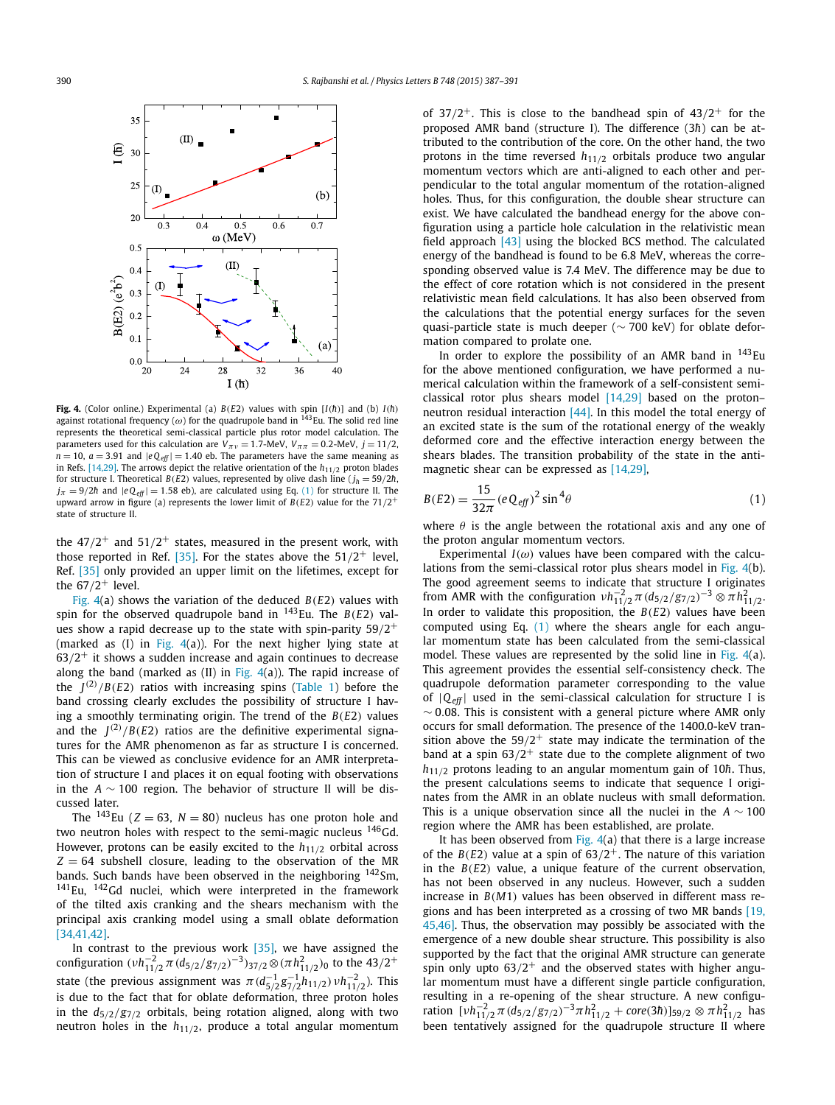

**Fig. 4.** (Color online.) Experimental (a)  $B(E2)$  values with spin [I(*h*)] and (b) I(*h*)<br>against rotational frequency (ω) for the quadrupole band in <sup>143</sup>Eu. The solid red line represents the theoretical semi-classical particle plus rotor model calculation. The parameters used for this calculation are  $V_{\pi\nu} = 1.7$ -MeV,  $V_{\pi\pi} = 0.2$ -MeV,  $j = 11/2$ ,  $n = 10$ ,  $a = 3.91$  and  $|eQ_{eff}| = 1.40$  eb. The parameters have the same meaning as in Refs. [14,29]. The arrows depict the relative orientation of the *h*11/<sup>2</sup> proton blades for structure I. Theoretical *B*(*E*2) values, represented by olive dash line ( $j_h = 59/2\hbar$ ,  $j_{\pi} = 9/2\hbar$  and  $|eQ_{\text{eff}}| = 1.58$  eb), are calculated using Eq. (1) for structure II. The upward arrow in figure (a) represents the lower limit of  $B(E2)$  value for the  $71/2^+$ state of structure II.

the 47/2 $^+$  and 51/2 $^+$  states, measured in the present work, with those reported in Ref. [35]. For the states above the  $51/2^+$  level, Ref. [35] only provided an upper limit on the lifetimes, except for the  $67/2^+$  level.

Fig. 4(a) shows the variation of the deduced *B*(*E*2) values with spin for the observed quadrupole band in  $^{143}$ Eu. The *B(E2)* values show a rapid decrease up to the state with spin-parity 59/2 $^{\rm +}$ (marked as  $(I)$  in Fig. 4(a)). For the next higher lying state at  $63/2^+$  it shows a sudden increase and again continues to decrease along the band (marked as  $(II)$  in Fig.  $4(a)$ ). The rapid increase of the  $J^{(2)}/B(E2)$  ratios with increasing spins (Table 1) before the band crossing clearly excludes the possibility of structure I having a smoothly terminating origin. The trend of the *B*(*E*2) values and the  $J^{(2)}/B(E2)$  ratios are the definitive experimental signatures for the AMR phenomenon as far as structure I is concerned. This can be viewed as conclusive evidence for an AMR interpretation of structure I and places it on equal footing with observations in the *A* ∼ 100 region. The behavior of structure II will be discussed later.

The  $^{143}$ Eu (*Z* = 63, *N* = 80) nucleus has one proton hole and two neutron holes with respect to the semi-magic nucleus  $146$  Gd. However, protons can be easily excited to the  $h_{11/2}$  orbital across  $Z = 64$  subshell closure, leading to the observation of the MR bands. Such bands have been observed in the neighboring <sup>142</sup>Sm,  $141$ Eu,  $142$ Gd nuclei, which were interpreted in the framework of the tilted axis cranking and the shears mechanism with the principal axis cranking model using a small oblate deformation [34,41,42].

In contrast to the previous work [35], we have assigned the configuration  $(\nu h_{11/2}^{-2} \pi (d_{5/2}/g_{7/2})^{-3})_{37/2} \otimes (\pi h_{11/2}^2)$  to the 43/2<sup>+</sup> state (the previous assignment was  $\pi (d_{5/2}^{-1}g_{7/2}^{-1}h_{11/2}) \nu h_{11/2}^{-2}$ ). This is due to the fact that for oblate deformation, three proton holes in the  $d_{5/2}/g_{7/2}$  orbitals, being rotation aligned, along with two neutron holes in the *h*11/2, produce a total angular momentum of  $37/2^+$ . This is close to the bandhead spin of  $43/2^+$  for the proposed AMR band (structure I). The difference (3h) can be attributed to the contribution of the core. On the other hand, the two protons in the time reversed  $h_{11/2}$  orbitals produce two angular momentum vectors which are anti-aligned to each other and perpendicular to the total angular momentum of the rotation-aligned holes. Thus, for this configuration, the double shear structure can exist. We have calculated the bandhead energy for the above configuration using a particle hole calculation in the relativistic mean field approach  $[43]$  using the blocked BCS method. The calculated energy of the bandhead is found to be 6.8 MeV, whereas the corresponding observed value is 7.4 MeV. The difference may be due to the effect of core rotation which is not considered in the present relativistic mean field calculations. It has also been observed from the calculations that the potential energy surfaces for the seven quasi-particle state is much deeper (~ 700 keV) for oblate deformation compared to prolate one.

In order to explore the possibility of an AMR band in  $143$ Eu for the above mentioned configuration, we have performed a numerical calculation within the framework of a self-consistent semiclassical rotor plus shears model  $[14,29]$  based on the proton– neutron residual interaction [44]. In this model the total energy of an excited state is the sum of the rotational energy of the weakly deformed core and the effective interaction energy between the shears blades. The transition probability of the state in the antimagnetic shear can be expressed as [14,29],

$$
B(E2) = \frac{15}{32\pi} (eQ_{\text{eff}})^2 \sin^4 \theta \tag{1}
$$

where  $\theta$  is the angle between the rotational axis and any one of the proton angular momentum vectors.

Experimental  $I(\omega)$  values have been compared with the calculations from the semi-classical rotor plus shears model in Fig. 4(b). The good agreement seems to indicate that structure I originates from AMR with the configuration  $vh_{11/2}^{-2} \pi (d_{5/2}/g_{7/2})^{-3} \otimes \pi h_{11/2}^2$ . In order to validate this proposition, the *B*(*E*2) values have been computed using Eq. (1) where the shears angle for each angular momentum state has been calculated from the semi-classical model. These values are represented by the solid line in Fig.  $4(a)$ . This agreement provides the essential self-consistency check. The quadrupole deformation parameter corresponding to the value of  $|Q_{\text{eff}}|$  used in the semi-classical calculation for structure I is  $\sim$  0.08. This is consistent with a general picture where AMR only occurs for small deformation. The presence of the 1400.0-keV transition above the  $59/2^+$  state may indicate the termination of the band at a spin  $63/2^+$  state due to the complete alignment of two  $h_{11/2}$  protons leading to an angular momentum gain of 10 $\hbar$ . Thus, the present calculations seems to indicate that sequence I originates from the AMR in an oblate nucleus with small deformation. This is a unique observation since all the nuclei in the *A* ∼ 100 region where the AMR has been established, are prolate.

It has been observed from Fig.  $4(a)$  that there is a large increase of the  $B(E2)$  value at a spin of  $63/2^+$ . The nature of this variation in the *B*(*E*2) value, a unique feature of the current observation, has not been observed in any nucleus. However, such a sudden increase in *B*(*M*1) values has been observed in different mass regions and has been interpreted as a crossing of two MR bands [19, 45,46]. Thus, the observation may possibly be associated with the emergence of a new double shear structure. This possibility is also supported by the fact that the original AMR structure can generate spin only upto  $63/2^+$  and the observed states with higher angular momentum must have a different single particle configuration, resulting in a re-opening of the shear structure. A new configuration  $[vh_{11/2}^{-2}\pi(d_{5/2}/g_{7/2})^{-3}\pi h_{11/2}^2 + core(3\hbar)]_{59/2} \otimes \pi h_{11/2}^2$  has been tentatively assigned for the quadrupole structure II where